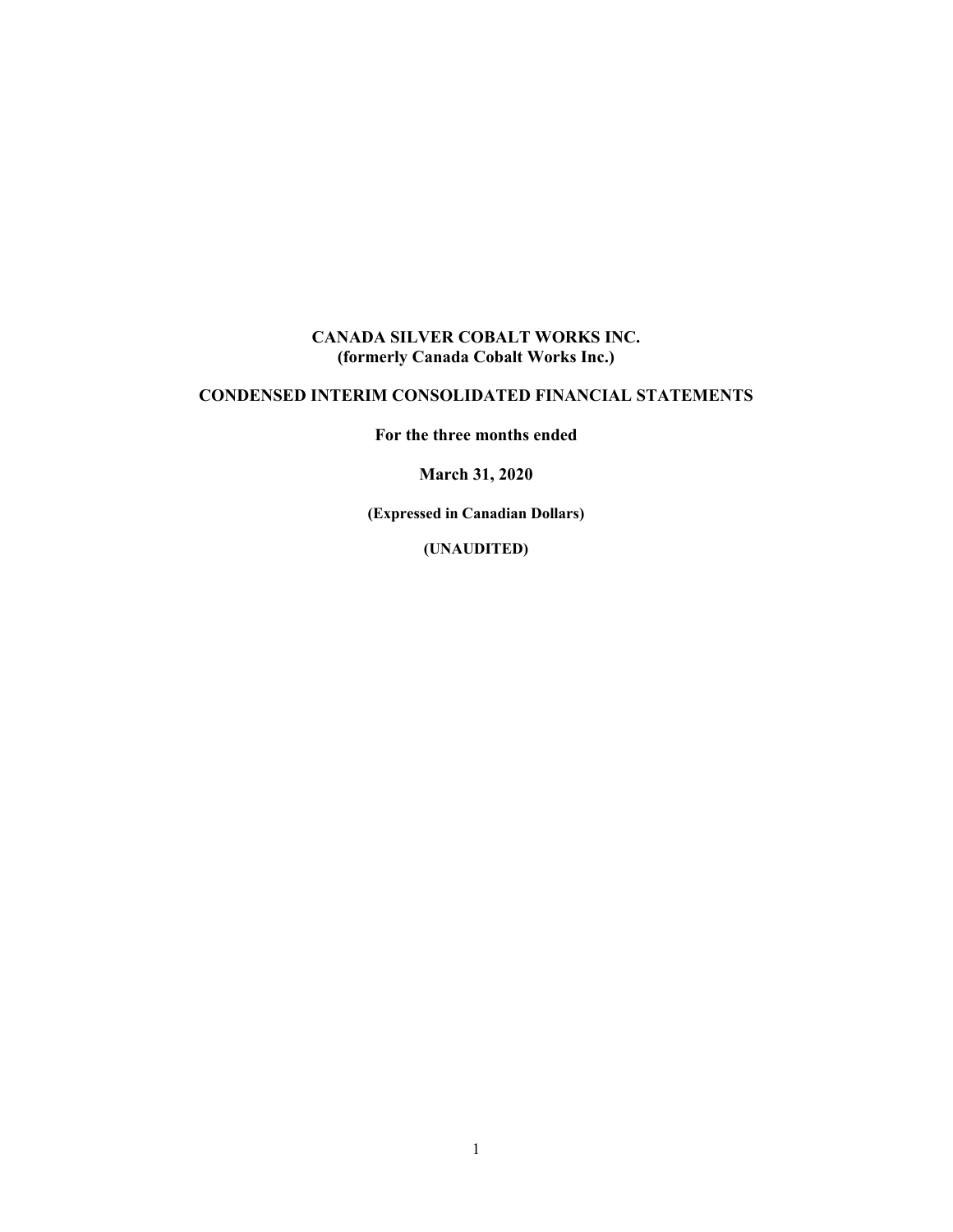### **CANADA SILVER COBALT WORKS INC. (formerly Canada Cobalt Works Inc.)**

# **CONDENSED INTERIM CONSOLIDATED FINANCIAL STATEMENTS**

**For the three months ended** 

**March 31, 2020** 

**(Expressed in Canadian Dollars)** 

**(UNAUDITED)**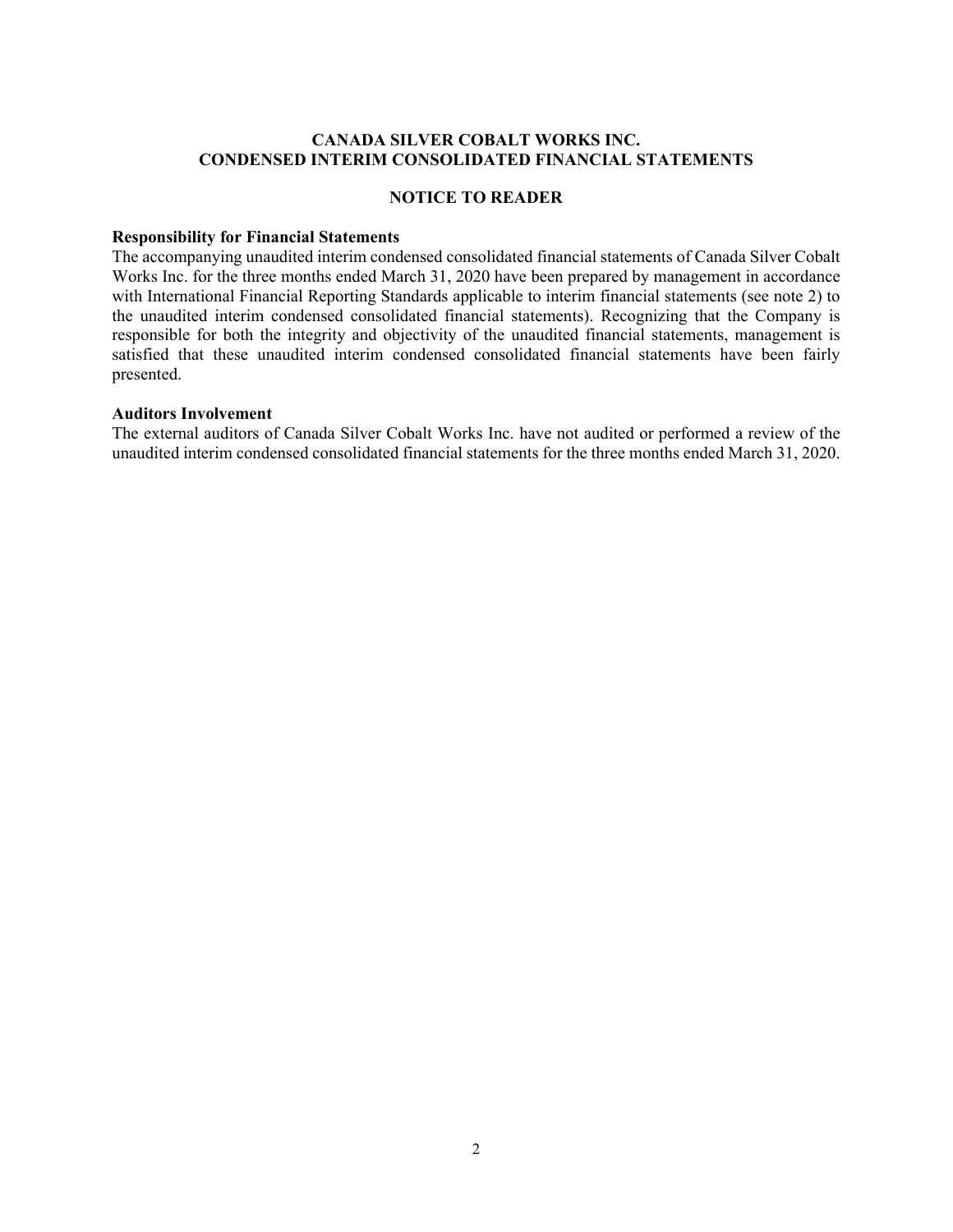#### **CANADA SILVER COBALT WORKS INC. CONDENSED INTERIM CONSOLIDATED FINANCIAL STATEMENTS**

#### **NOTICE TO READER**

#### **Responsibility for Financial Statements**

The accompanying unaudited interim condensed consolidated financial statements of Canada Silver Cobalt Works Inc. for the three months ended March 31, 2020 have been prepared by management in accordance with International Financial Reporting Standards applicable to interim financial statements (see note 2) to the unaudited interim condensed consolidated financial statements). Recognizing that the Company is responsible for both the integrity and objectivity of the unaudited financial statements, management is satisfied that these unaudited interim condensed consolidated financial statements have been fairly presented.

#### **Auditors Involvement**

The external auditors of Canada Silver Cobalt Works Inc. have not audited or performed a review of the unaudited interim condensed consolidated financial statements for the three months ended March 31, 2020.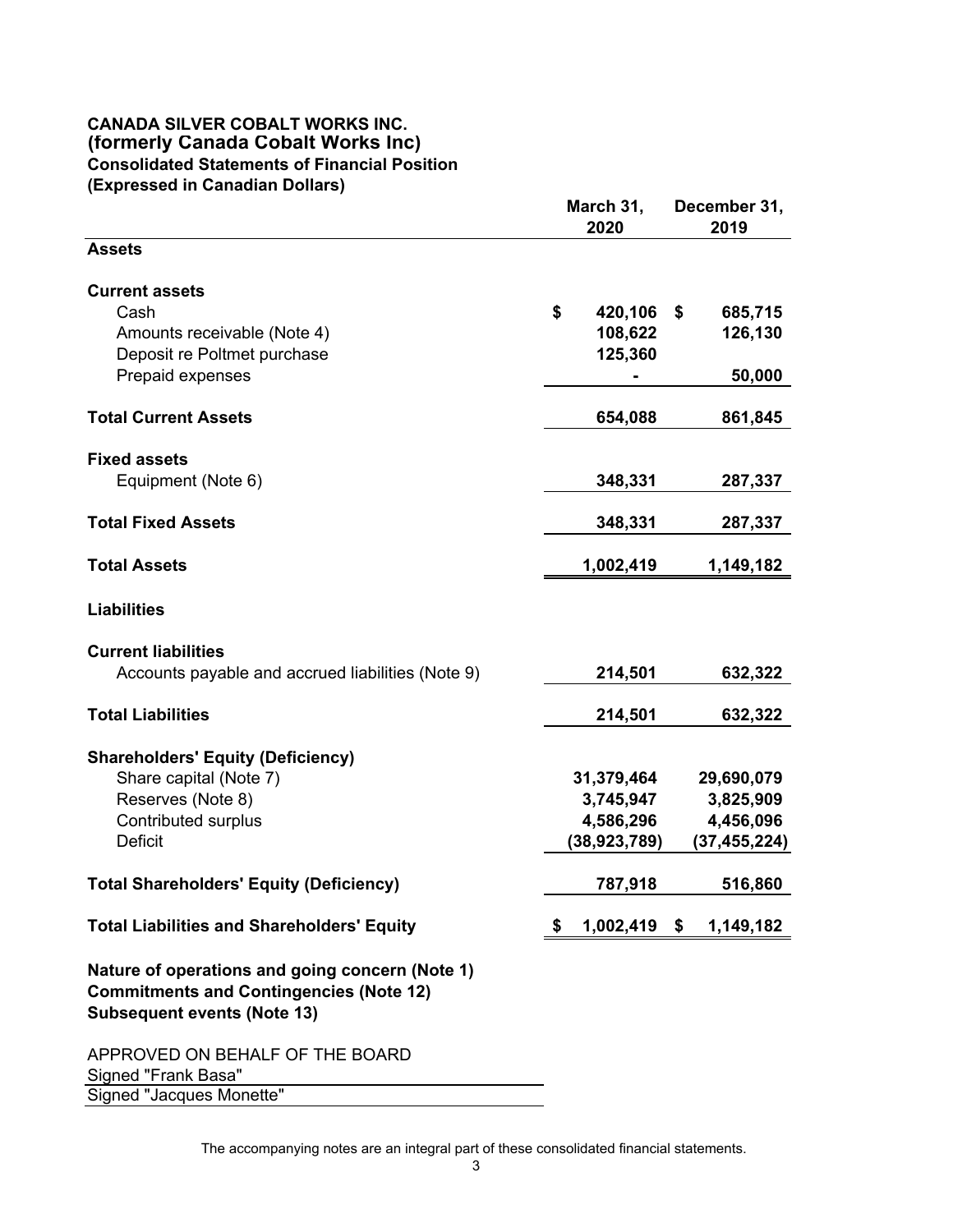#### **CANADA SILVER COBALT WORKS INC. (formerly Canada Cobalt Works Inc) Consolidated Statements of Financial Position (Expressed in Canadian Dollars)**

|                                                                                                                                         |    | March 31,<br>2020                                      | December 31,<br>2019                                   |
|-----------------------------------------------------------------------------------------------------------------------------------------|----|--------------------------------------------------------|--------------------------------------------------------|
| <b>Assets</b>                                                                                                                           |    |                                                        |                                                        |
| <b>Current assets</b><br>Cash<br>Amounts receivable (Note 4)<br>Deposit re Poltmet purchase                                             | \$ | 420,106<br>108,622<br>125,360                          | \$<br>685,715<br>126,130                               |
| Prepaid expenses<br><b>Total Current Assets</b>                                                                                         |    | 654,088                                                | 50,000<br>861,845                                      |
| <b>Fixed assets</b><br>Equipment (Note 6)                                                                                               |    | 348,331                                                | 287,337                                                |
| <b>Total Fixed Assets</b>                                                                                                               |    | 348,331                                                | 287,337                                                |
| <b>Total Assets</b>                                                                                                                     |    | 1,002,419                                              | 1,149,182                                              |
| <b>Liabilities</b>                                                                                                                      |    |                                                        |                                                        |
| <b>Current liabilities</b><br>Accounts payable and accrued liabilities (Note 9)                                                         |    | 214,501                                                | 632,322                                                |
| <b>Total Liabilities</b>                                                                                                                |    | 214,501                                                | 632,322                                                |
| <b>Shareholders' Equity (Deficiency)</b><br>Share capital (Note 7)<br>Reserves (Note 8)<br>Contributed surplus<br><b>Deficit</b>        |    | 31,379,464<br>3,745,947<br>4,586,296<br>(38, 923, 789) | 29,690,079<br>3,825,909<br>4,456,096<br>(37, 455, 224) |
| <b>Total Shareholders' Equity (Deficiency)</b>                                                                                          |    | 787,918                                                | 516,860                                                |
| <b>Total Liabilities and Shareholders' Equity</b>                                                                                       | S  | $1,002,419$ \$                                         | 1,149,182                                              |
| Nature of operations and going concern (Note 1)<br><b>Commitments and Contingencies (Note 12)</b><br><b>Subsequent events (Note 13)</b> |    |                                                        |                                                        |
| APPROVED ON BEHALF OF THE BOARD<br>Signed "Frank Basa"                                                                                  |    |                                                        |                                                        |

Signed "Jacques Monette"

The accompanying notes are an integral part of these consolidated financial statements.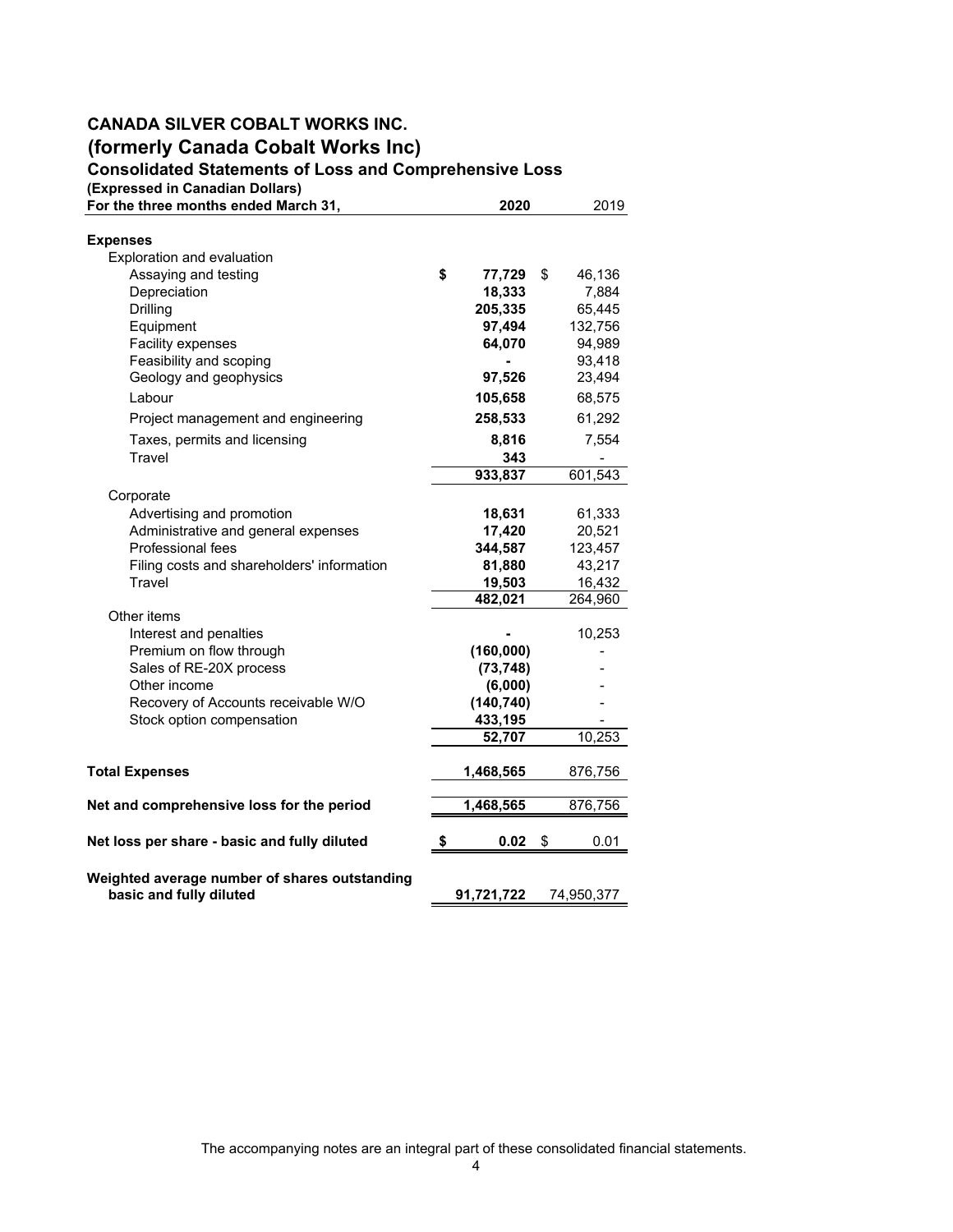### **CANADA SILVER COBALT WORKS INC. (formerly Canada Cobalt Works Inc) Consolidated Statements of Loss and Comprehensive Loss**

**(Expressed in Canadian Dollars)**

| For the three months ended March 31,                                     | 2020         | 2019         |
|--------------------------------------------------------------------------|--------------|--------------|
| <b>Expenses</b>                                                          |              |              |
| Exploration and evaluation                                               |              |              |
| Assaying and testing                                                     | \$<br>77,729 | \$<br>46,136 |
| Depreciation                                                             | 18,333       | 7,884        |
| Drilling                                                                 | 205,335      | 65,445       |
| Equipment                                                                | 97,494       | 132,756      |
| Facility expenses                                                        | 64,070       | 94,989       |
| Feasibility and scoping                                                  |              | 93,418       |
| Geology and geophysics                                                   | 97,526       | 23,494       |
| Labour                                                                   | 105,658      | 68,575       |
| Project management and engineering                                       | 258,533      | 61,292       |
| Taxes, permits and licensing                                             | 8,816        | 7,554        |
| Travel                                                                   | 343          |              |
|                                                                          | 933,837      | 601,543      |
| Corporate                                                                |              |              |
| Advertising and promotion                                                | 18,631       | 61,333       |
| Administrative and general expenses                                      | 17,420       | 20,521       |
| Professional fees                                                        | 344,587      | 123,457      |
| Filing costs and shareholders' information                               | 81,880       | 43,217       |
| Travel                                                                   | 19,503       | 16,432       |
|                                                                          | 482,021      | 264,960      |
| Other items                                                              |              |              |
| Interest and penalties                                                   |              | 10,253       |
| Premium on flow through                                                  | (160,000)    |              |
| Sales of RE-20X process                                                  | (73, 748)    |              |
| Other income                                                             | (6,000)      |              |
| Recovery of Accounts receivable W/O                                      | (140, 740)   |              |
| Stock option compensation                                                | 433,195      |              |
|                                                                          | 52,707       | 10,253       |
| <b>Total Expenses</b>                                                    | 1,468,565    | 876,756      |
| Net and comprehensive loss for the period                                | 1,468,565    | 876,756      |
| Net loss per share - basic and fully diluted                             | \$<br>0.02   | \$<br>0.01   |
| Weighted average number of shares outstanding<br>basic and fully diluted | 91,721,722   | 74,950,377   |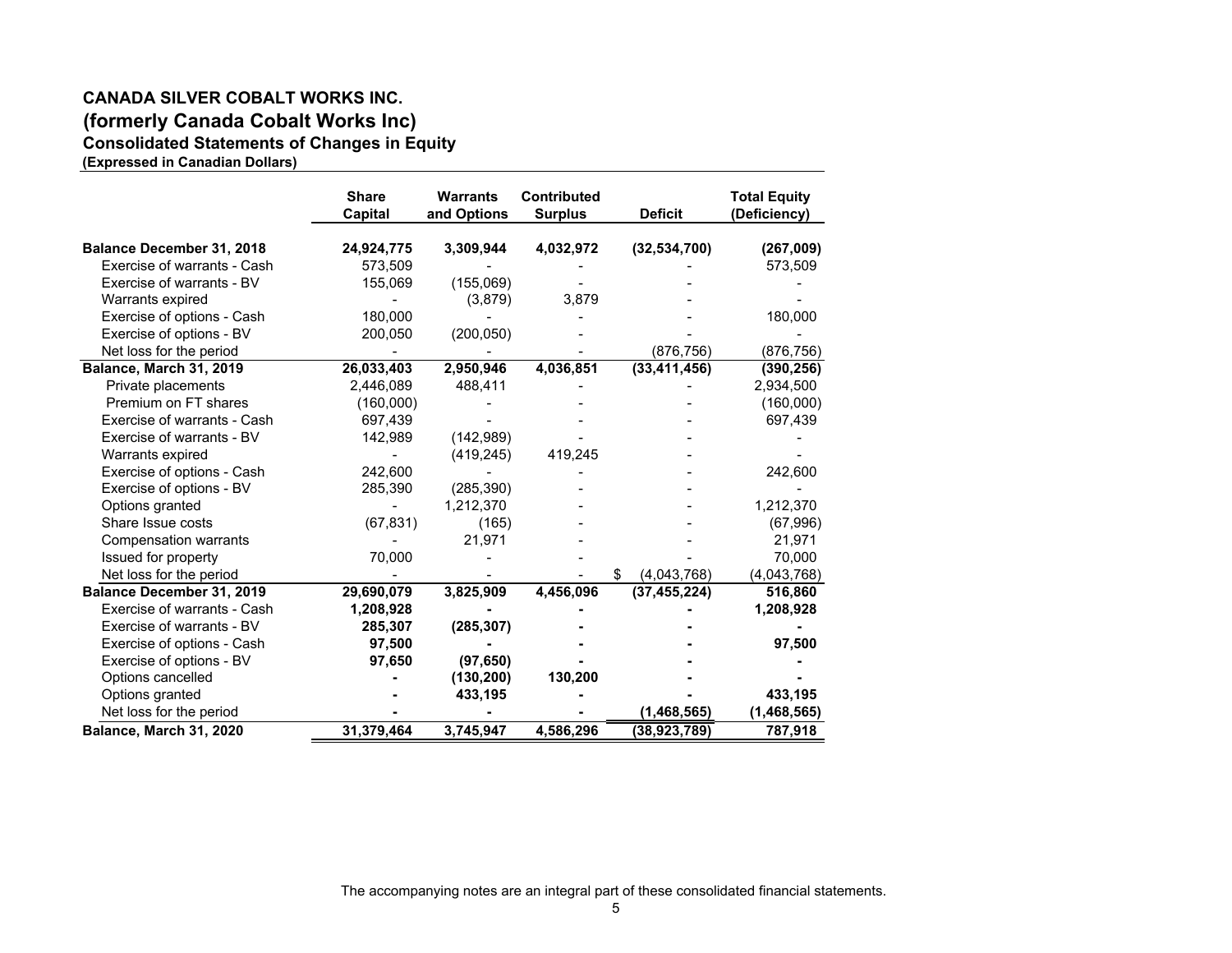#### **CANADA SILVER COBALT WORKS INC.(formerly Canada Cobalt Works Inc) Consolidated Statements of Changes in Equity (Expressed in Canadian Dollars)**

**Share Warrants Contributed Total Equity Capital and Options Surplus Deficit (Deficiency) Balance December 31, 2018 24,924,775 3,309,944 4,032,972 (32,534,700) (267,009)** Exercise of warrants - Cash 573,509 - - - 573,509 Exercise of warrants - BV 155,069 (155,069) - - - Warrants expired and the set of the contract of the contract of the contract of the contract of the contract of the contract of the contract of the contract of the contract of the contract of the contract of the contract o Exercise of options - Cash 180,000 - - - - - - - - - - - - - - - 180,000 Exercise of options - BV 200,050 (200,050) - - - Net loss for the period **-** - - - - - - - - - - - - (876,756) (876,756) **Balance, March 31, 2019 26,033,403 2,950,946 4,036,851 (33,411,456) (390,256)** Private placements  $2,446,089$   $488,411$  -  $2,934,500$ Premium on FT shares (160,000) - - - (160,000) Exercise of warrants - Cash 697,439 - - - - - - - - - - - - - - - - - - 697,439 Exercise of warrants - BV 142,989 (142,989) - - - Warrants expired  $(419,245)$  419,245 Exercise of options - Cash 242,600 - - - 242,600 Exercise of options - BV 285,390 (285,390) - - - Options granted 1.212,370 - 1,212,370 - 1,212,370 Share Issue costs (67,831) (165) - - (67,996) Compensation warrants - 21,971 - - 21,971 Issued for property  $70,000$  -  $-$  -  $70,000$ Net loss for the period 1.043,768)<br> **Alance December 31, 2019** 29.690,079 3,825,909 4,456,096 (37,455,224) 516,860 **Balance December 31, 2019 29,690,079 3,825,909 4,456,096 (37,455,224) 516,860** Exercise of warrants - Cash **- 1,208,928 - - 1,208,928** Exercise of warrants - BV **(285,307) 285,307 - - -** Exercise of options - Cash **- 97,500 - - 97,500** Exercise of options - BV **(97,650) 97,650 - - -** Options cancelled **(130,200) - 130,200 - -** Options granted **433,195 - - - 433,195** Net loss for the period **- - - (1,468,565) (1,468,565) Balance, March 31, 2020 31,379,464 3,745,947 4,586,296 (38,923,789) 787,918**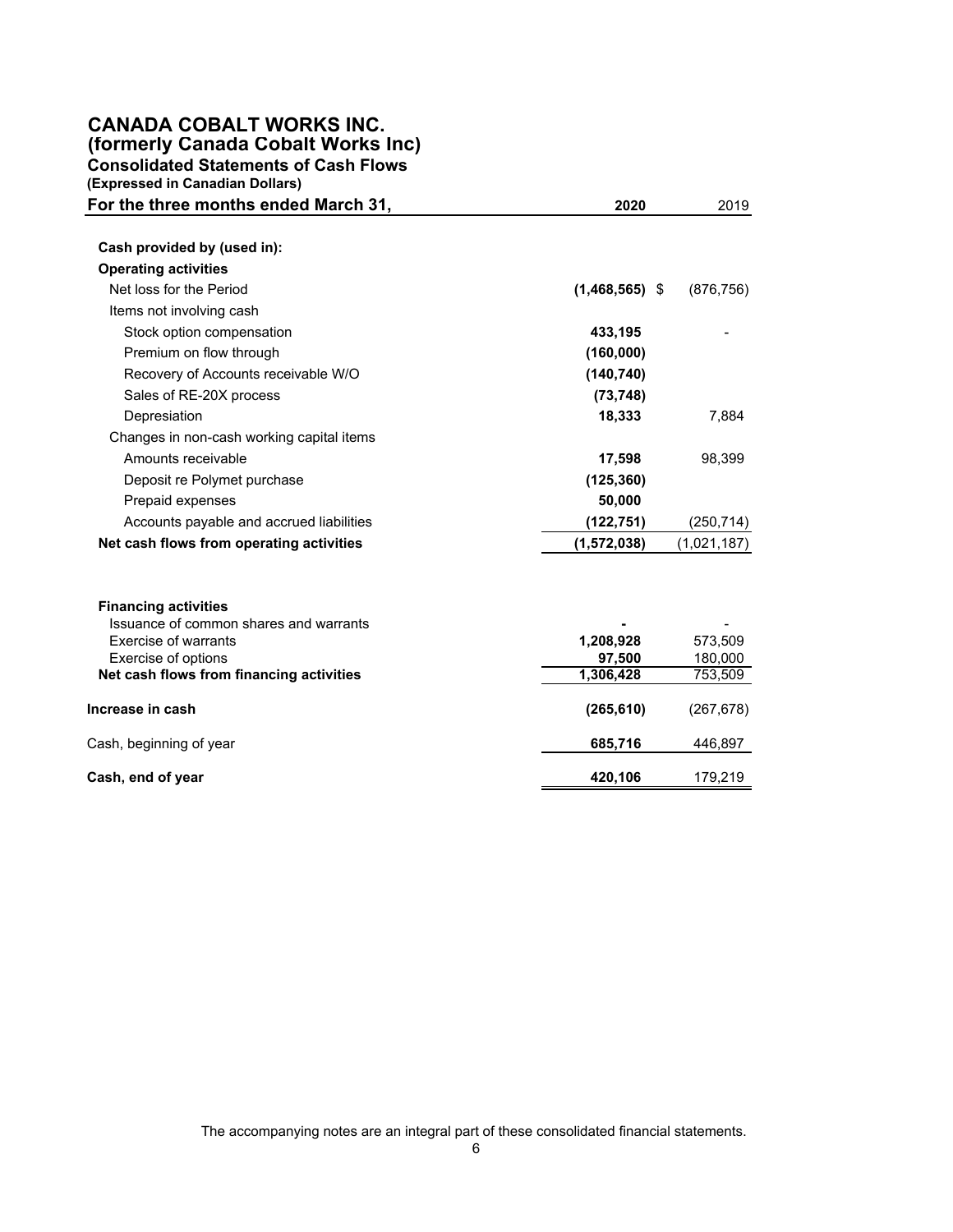### **CANADA COBALT WORKS INC. (formerly Canada Cobalt Works Inc) Consolidated Statements of Cash Flows**

**(Expressed in Canadian Dollars)** 

| For the three months ended March 31,                                  | 2020             | 2019        |
|-----------------------------------------------------------------------|------------------|-------------|
| Cash provided by (used in):                                           |                  |             |
| <b>Operating activities</b>                                           |                  |             |
| Net loss for the Period                                               | $(1,468,565)$ \$ | (876, 756)  |
| Items not involving cash                                              |                  |             |
| Stock option compensation                                             | 433,195          |             |
| Premium on flow through                                               | (160,000)        |             |
| Recovery of Accounts receivable W/O                                   | (140, 740)       |             |
| Sales of RE-20X process                                               | (73, 748)        |             |
| Depresiation                                                          | 18,333           | 7,884       |
| Changes in non-cash working capital items                             |                  |             |
| Amounts receivable                                                    | 17,598           | 98,399      |
| Deposit re Polymet purchase                                           | (125, 360)       |             |
| Prepaid expenses                                                      | 50,000           |             |
| Accounts payable and accrued liabilities                              | (122, 751)       | (250, 714)  |
| Net cash flows from operating activities                              | (1,572,038)      | (1,021,187) |
| <b>Financing activities</b><br>Issuance of common shares and warrants |                  |             |
| <b>Exercise of warrants</b>                                           | 1,208,928        | 573,509     |
| Exercise of options                                                   | 97,500           | 180,000     |
| Net cash flows from financing activities                              | 1,306,428        | 753,509     |
| Increase in cash                                                      | (265, 610)       | (267, 678)  |
| Cash, beginning of year                                               | 685,716          | 446,897     |
| Cash, end of year                                                     | 420,106          | 179,219     |

The accompanying notes are an integral part of these consolidated financial statements.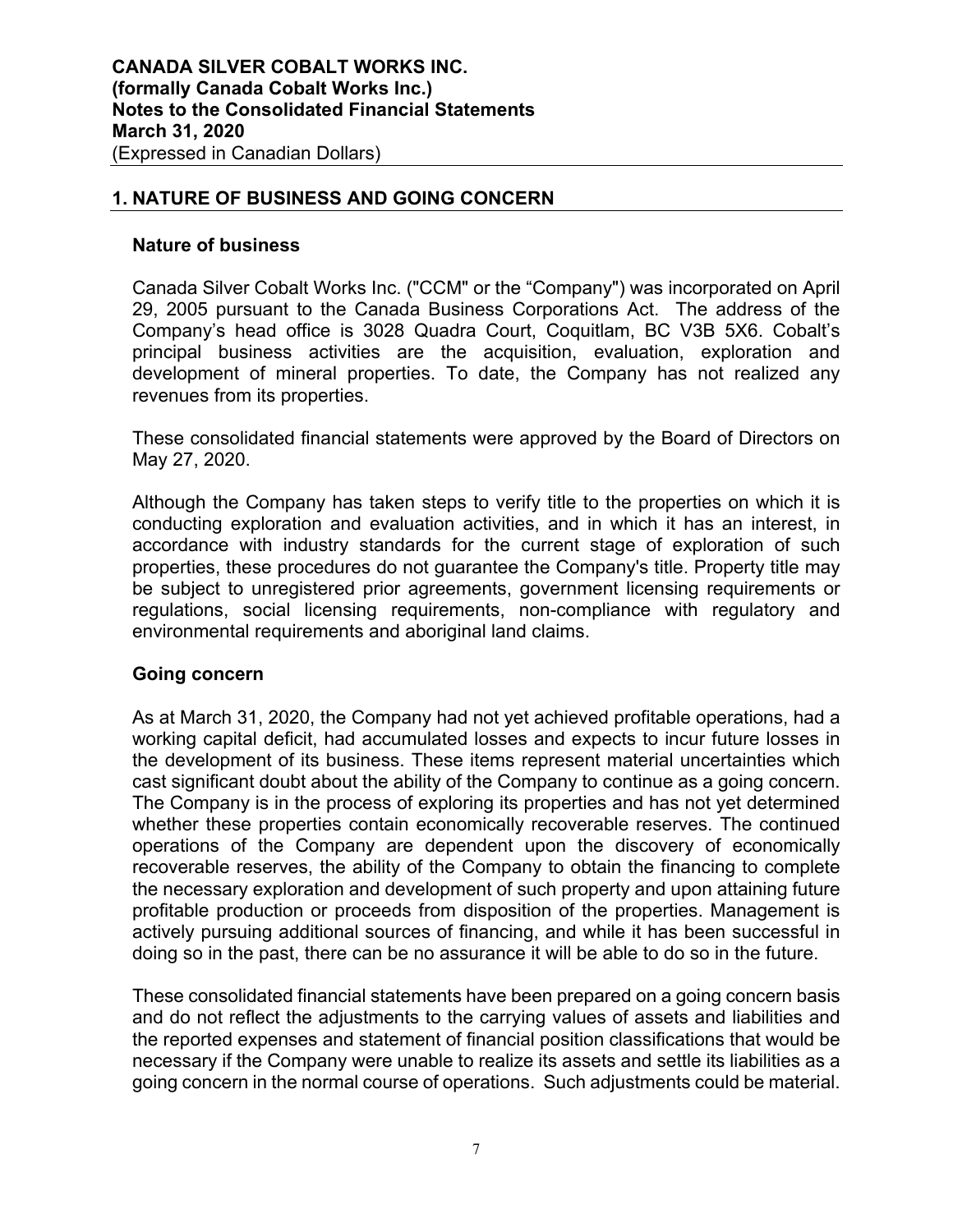### **1. NATURE OF BUSINESS AND GOING CONCERN**

### **Nature of business**

Canada Silver Cobalt Works Inc. ("CCM" or the "Company") was incorporated on April 29, 2005 pursuant to the Canada Business Corporations Act. The address of the Company's head office is 3028 Quadra Court, Coquitlam, BC V3B 5X6. Cobalt's principal business activities are the acquisition, evaluation, exploration and development of mineral properties. To date, the Company has not realized any revenues from its properties.

These consolidated financial statements were approved by the Board of Directors on May 27, 2020.

Although the Company has taken steps to verify title to the properties on which it is conducting exploration and evaluation activities, and in which it has an interest, in accordance with industry standards for the current stage of exploration of such properties, these procedures do not guarantee the Company's title. Property title may be subject to unregistered prior agreements, government licensing requirements or regulations, social licensing requirements, non-compliance with regulatory and environmental requirements and aboriginal land claims.

### **Going concern**

As at March 31, 2020, the Company had not yet achieved profitable operations, had a working capital deficit, had accumulated losses and expects to incur future losses in the development of its business. These items represent material uncertainties which cast significant doubt about the ability of the Company to continue as a going concern. The Company is in the process of exploring its properties and has not yet determined whether these properties contain economically recoverable reserves. The continued operations of the Company are dependent upon the discovery of economically recoverable reserves, the ability of the Company to obtain the financing to complete the necessary exploration and development of such property and upon attaining future profitable production or proceeds from disposition of the properties. Management is actively pursuing additional sources of financing, and while it has been successful in doing so in the past, there can be no assurance it will be able to do so in the future.

These consolidated financial statements have been prepared on a going concern basis and do not reflect the adjustments to the carrying values of assets and liabilities and the reported expenses and statement of financial position classifications that would be necessary if the Company were unable to realize its assets and settle its liabilities as a going concern in the normal course of operations. Such adjustments could be material.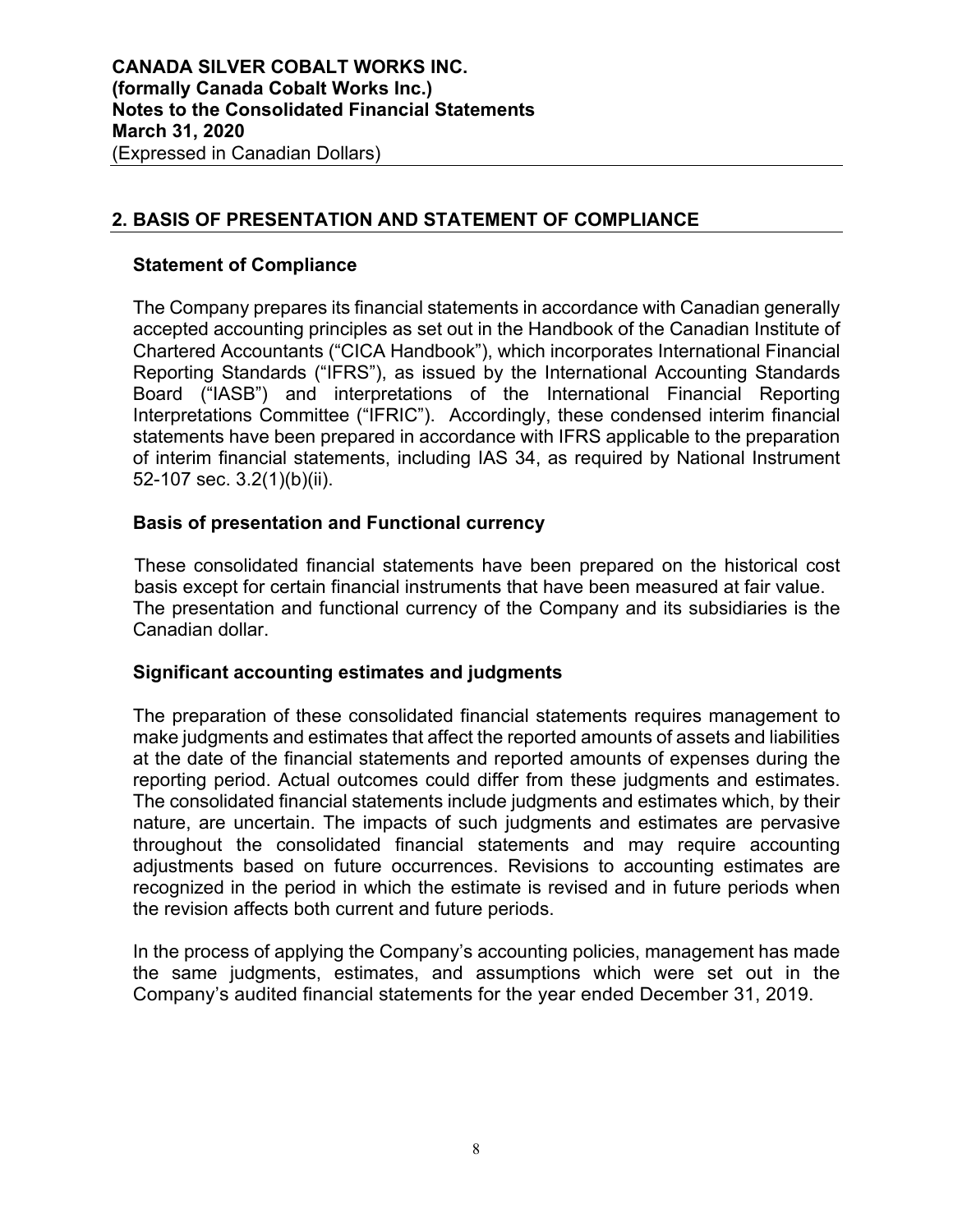# **2. BASIS OF PRESENTATION AND STATEMENT OF COMPLIANCE**

### **Statement of Compliance**

The Company prepares its financial statements in accordance with Canadian generally accepted accounting principles as set out in the Handbook of the Canadian Institute of Chartered Accountants ("CICA Handbook"), which incorporates International Financial Reporting Standards ("IFRS"), as issued by the International Accounting Standards Board ("IASB") and interpretations of the International Financial Reporting Interpretations Committee ("IFRIC"). Accordingly, these condensed interim financial statements have been prepared in accordance with IFRS applicable to the preparation of interim financial statements, including IAS 34, as required by National Instrument 52-107 sec. 3.2(1)(b)(ii).

### **Basis of presentation and Functional currency**

These consolidated financial statements have been prepared on the historical cost basis except for certain financial instruments that have been measured at fair value. The presentation and functional currency of the Company and its subsidiaries is the Canadian dollar.

#### **Significant accounting estimates and judgments**

The preparation of these consolidated financial statements requires management to make judgments and estimates that affect the reported amounts of assets and liabilities at the date of the financial statements and reported amounts of expenses during the reporting period. Actual outcomes could differ from these judgments and estimates. The consolidated financial statements include judgments and estimates which, by their nature, are uncertain. The impacts of such judgments and estimates are pervasive throughout the consolidated financial statements and may require accounting adjustments based on future occurrences. Revisions to accounting estimates are recognized in the period in which the estimate is revised and in future periods when the revision affects both current and future periods.

In the process of applying the Company's accounting policies, management has made the same judgments, estimates, and assumptions which were set out in the Company's audited financial statements for the year ended December 31, 2019.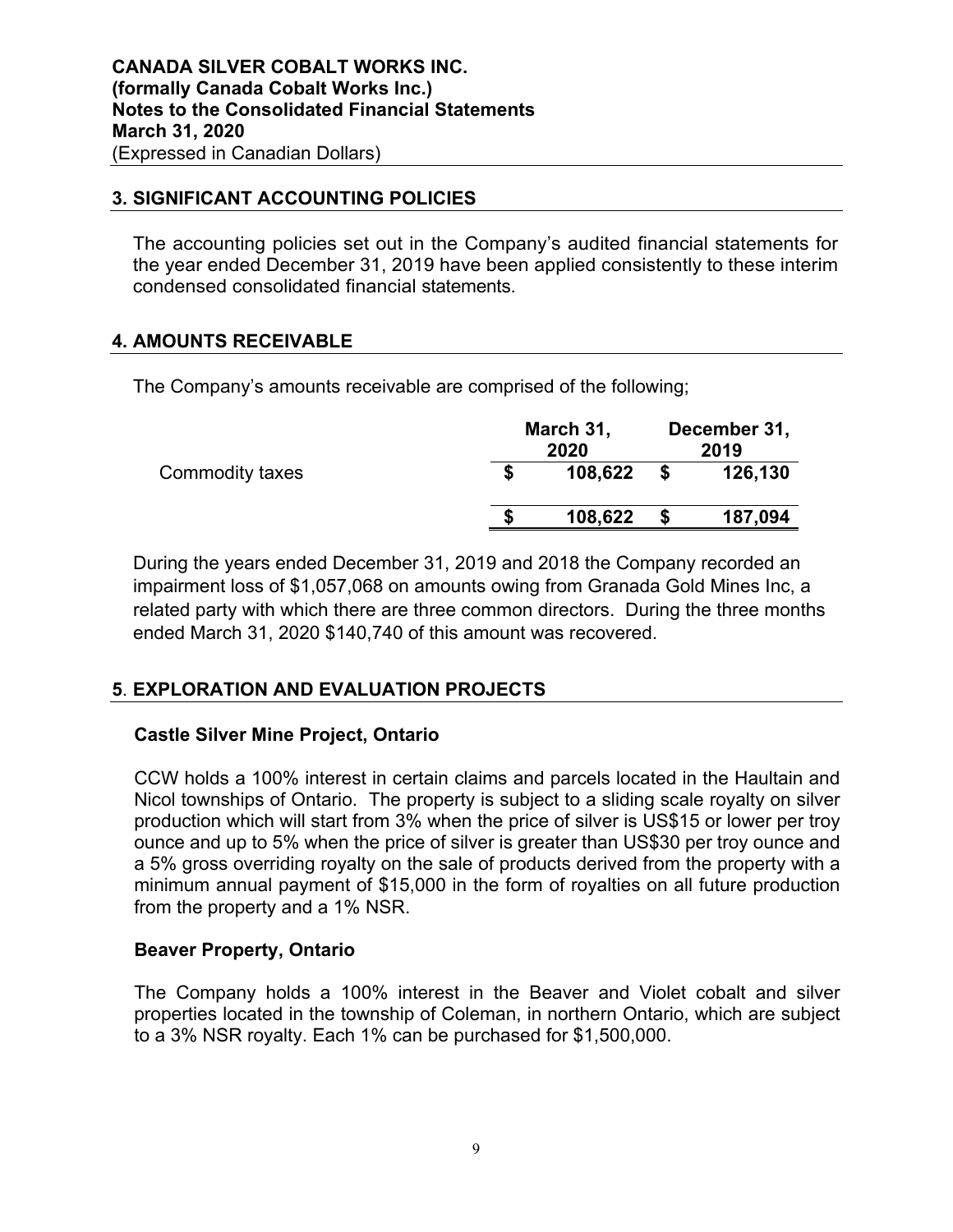### **3. SIGNIFICANT ACCOUNTING POLICIES**

The accounting policies set out in the Company's audited financial statements for the year ended December 31, 2019 have been applied consistently to these interim condensed consolidated financial statements.

## **4. AMOUNTS RECEIVABLE**

The Company's amounts receivable are comprised of the following;

|                 | March 31, | December 31,<br>2019 |  |         |
|-----------------|-----------|----------------------|--|---------|
| Commodity taxes |           | 108,622              |  | 126,130 |
|                 | S         | 108,622              |  | 187,094 |

During the years ended December 31, 2019 and 2018 the Company recorded an impairment loss of \$1,057,068 on amounts owing from Granada Gold Mines Inc, a related party with which there are three common directors. During the three months ended March 31, 2020 \$140,740 of this amount was recovered.

# **5**. **EXPLORATION AND EVALUATION PROJECTS**

### **Castle Silver Mine Project, Ontario**

CCW holds a 100% interest in certain claims and parcels located in the Haultain and Nicol townships of Ontario. The property is subject to a sliding scale royalty on silver production which will start from 3% when the price of silver is US\$15 or lower per troy ounce and up to 5% when the price of silver is greater than US\$30 per troy ounce and a 5% gross overriding royalty on the sale of products derived from the property with a minimum annual payment of \$15,000 in the form of royalties on all future production from the property and a 1% NSR.

### **Beaver Property, Ontario**

The Company holds a 100% interest in the Beaver and Violet cobalt and silver properties located in the township of Coleman, in northern Ontario, which are subject to a 3% NSR royalty. Each 1% can be purchased for \$1,500,000.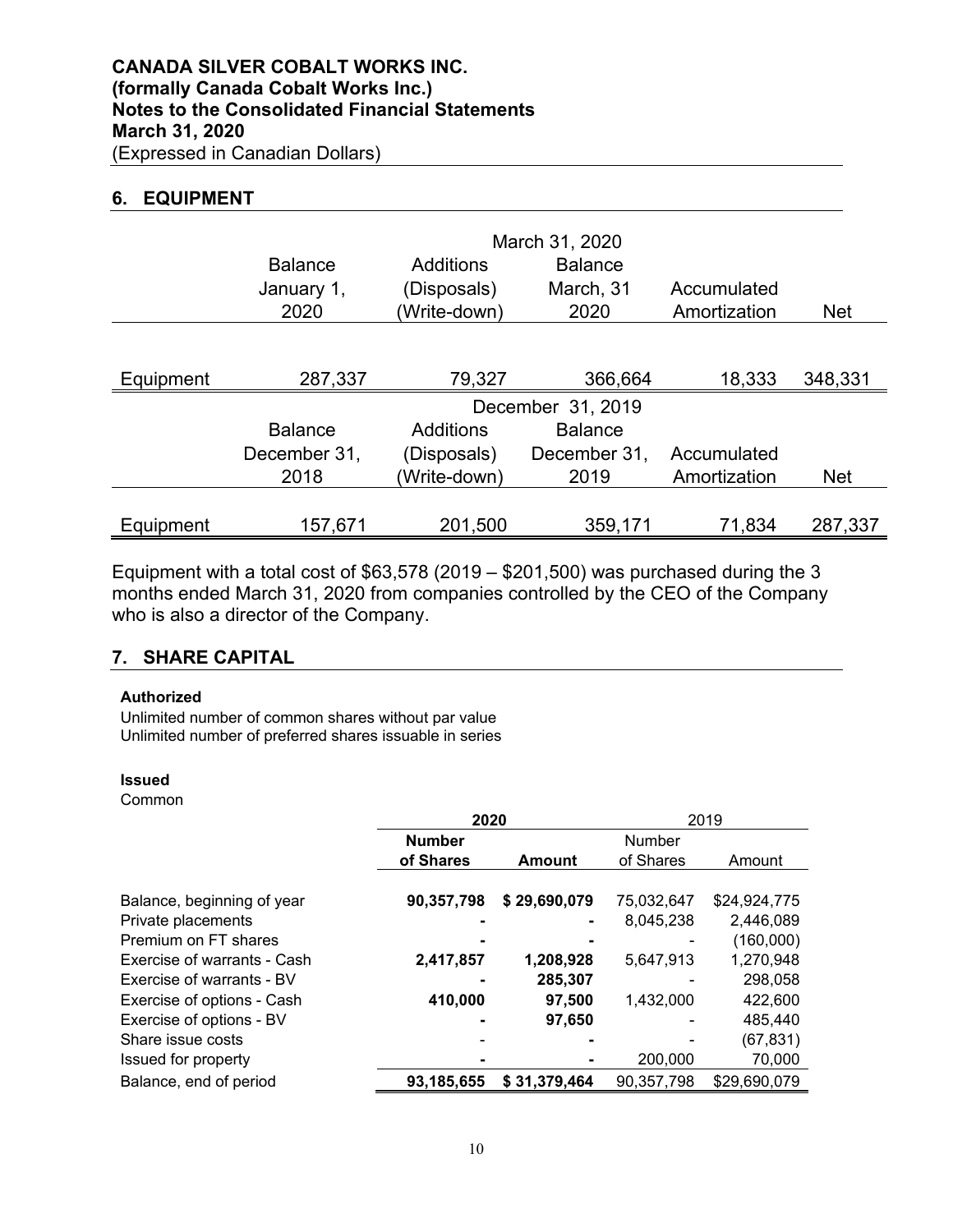### **6. EQUIPMENT**

|           |                |              | March 31, 2020    |              |            |
|-----------|----------------|--------------|-------------------|--------------|------------|
|           | <b>Balance</b> | Additions    | <b>Balance</b>    |              |            |
|           | January 1,     | (Disposals)  | March, 31         | Accumulated  |            |
|           | 2020           | (Write-down) | 2020              | Amortization | <b>Net</b> |
|           |                |              |                   |              |            |
| Equipment | 287,337        | 79,327       | 366,664           | 18,333       | 348,331    |
|           |                |              | December 31, 2019 |              |            |
|           | <b>Balance</b> | Additions    | <b>Balance</b>    |              |            |
|           | December 31,   | (Disposals)  | December 31.      | Accumulated  |            |
|           | 2018           | (Write-down) | 2019              | Amortization | <b>Net</b> |
|           |                |              |                   |              |            |
| Equipment | 157,671        | 201,500      | 359,171           | 71,834       | 287,337    |

Equipment with a total cost of  $$63,578$  (2019 –  $$201,500$ ) was purchased during the 3 months ended March 31, 2020 from companies controlled by the CEO of the Company who is also a director of the Company.

### **7. SHARE CAPITAL**

#### **Authorized**

Unlimited number of common shares without par value Unlimited number of preferred shares issuable in series

#### **Issued**

Common

|                             | 2020          |              | 2019       |              |  |
|-----------------------------|---------------|--------------|------------|--------------|--|
|                             | <b>Number</b> |              | Number     |              |  |
|                             | of Shares     | Amount       | of Shares  | Amount       |  |
|                             |               |              |            |              |  |
| Balance, beginning of year  | 90,357,798    | \$29,690,079 | 75,032,647 | \$24,924,775 |  |
| Private placements          |               |              | 8,045,238  | 2,446,089    |  |
| Premium on FT shares        |               |              |            | (160,000)    |  |
| Exercise of warrants - Cash | 2,417,857     | 1,208,928    | 5,647,913  | 1,270,948    |  |
| Exercise of warrants - BV   |               | 285,307      |            | 298,058      |  |
| Exercise of options - Cash  | 410,000       | 97,500       | 1,432,000  | 422,600      |  |
| Exercise of options - BV    |               | 97,650       |            | 485,440      |  |
| Share issue costs           |               |              |            | (67, 831)    |  |
| Issued for property         |               |              | 200,000    | 70,000       |  |
| Balance, end of period      | 93,185,655    | \$31,379,464 | 90,357,798 | \$29,690,079 |  |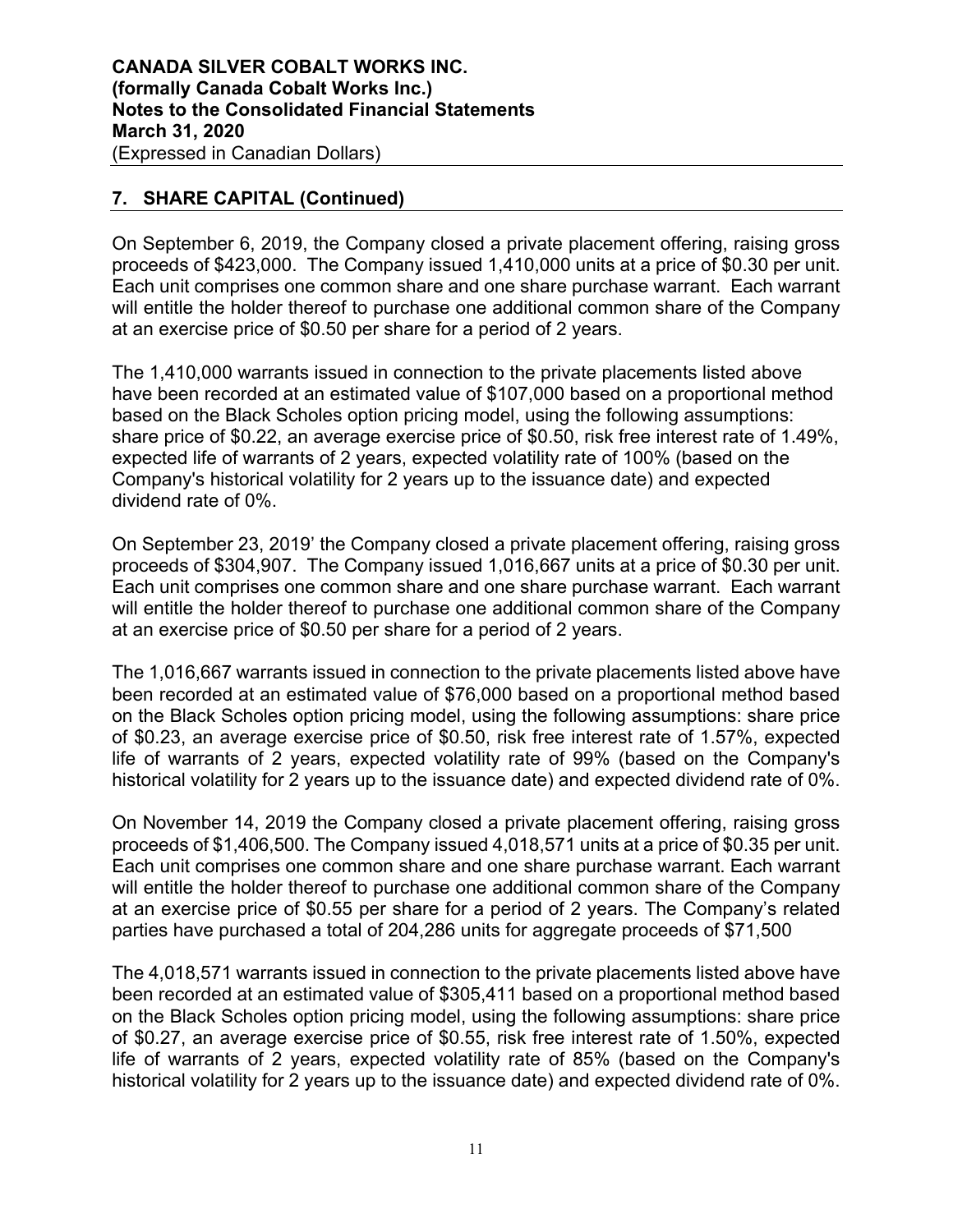# **7. SHARE CAPITAL (Continued)**

On September 6, 2019, the Company closed a private placement offering, raising gross proceeds of \$423,000. The Company issued 1,410,000 units at a price of \$0.30 per unit. Each unit comprises one common share and one share purchase warrant. Each warrant will entitle the holder thereof to purchase one additional common share of the Company at an exercise price of \$0.50 per share for a period of 2 years.

The 1,410,000 warrants issued in connection to the private placements listed above have been recorded at an estimated value of \$107,000 based on a proportional method based on the Black Scholes option pricing model, using the following assumptions: share price of \$0.22, an average exercise price of \$0.50, risk free interest rate of 1.49%, expected life of warrants of 2 years, expected volatility rate of 100% (based on the Company's historical volatility for 2 years up to the issuance date) and expected dividend rate of 0%.

On September 23, 2019' the Company closed a private placement offering, raising gross proceeds of \$304,907. The Company issued 1,016,667 units at a price of \$0.30 per unit. Each unit comprises one common share and one share purchase warrant. Each warrant will entitle the holder thereof to purchase one additional common share of the Company at an exercise price of \$0.50 per share for a period of 2 years.

The 1,016,667 warrants issued in connection to the private placements listed above have been recorded at an estimated value of \$76,000 based on a proportional method based on the Black Scholes option pricing model, using the following assumptions: share price of \$0.23, an average exercise price of \$0.50, risk free interest rate of 1.57%, expected life of warrants of 2 years, expected volatility rate of 99% (based on the Company's historical volatility for 2 years up to the issuance date) and expected dividend rate of 0%.

On November 14, 2019 the Company closed a private placement offering, raising gross proceeds of \$1,406,500. The Company issued 4,018,571 units at a price of \$0.35 per unit. Each unit comprises one common share and one share purchase warrant. Each warrant will entitle the holder thereof to purchase one additional common share of the Company at an exercise price of \$0.55 per share for a period of 2 years. The Company's related parties have purchased a total of 204,286 units for aggregate proceeds of \$71,500

The 4,018,571 warrants issued in connection to the private placements listed above have been recorded at an estimated value of \$305,411 based on a proportional method based on the Black Scholes option pricing model, using the following assumptions: share price of \$0.27, an average exercise price of \$0.55, risk free interest rate of 1.50%, expected life of warrants of 2 years, expected volatility rate of 85% (based on the Company's historical volatility for 2 years up to the issuance date) and expected dividend rate of 0%.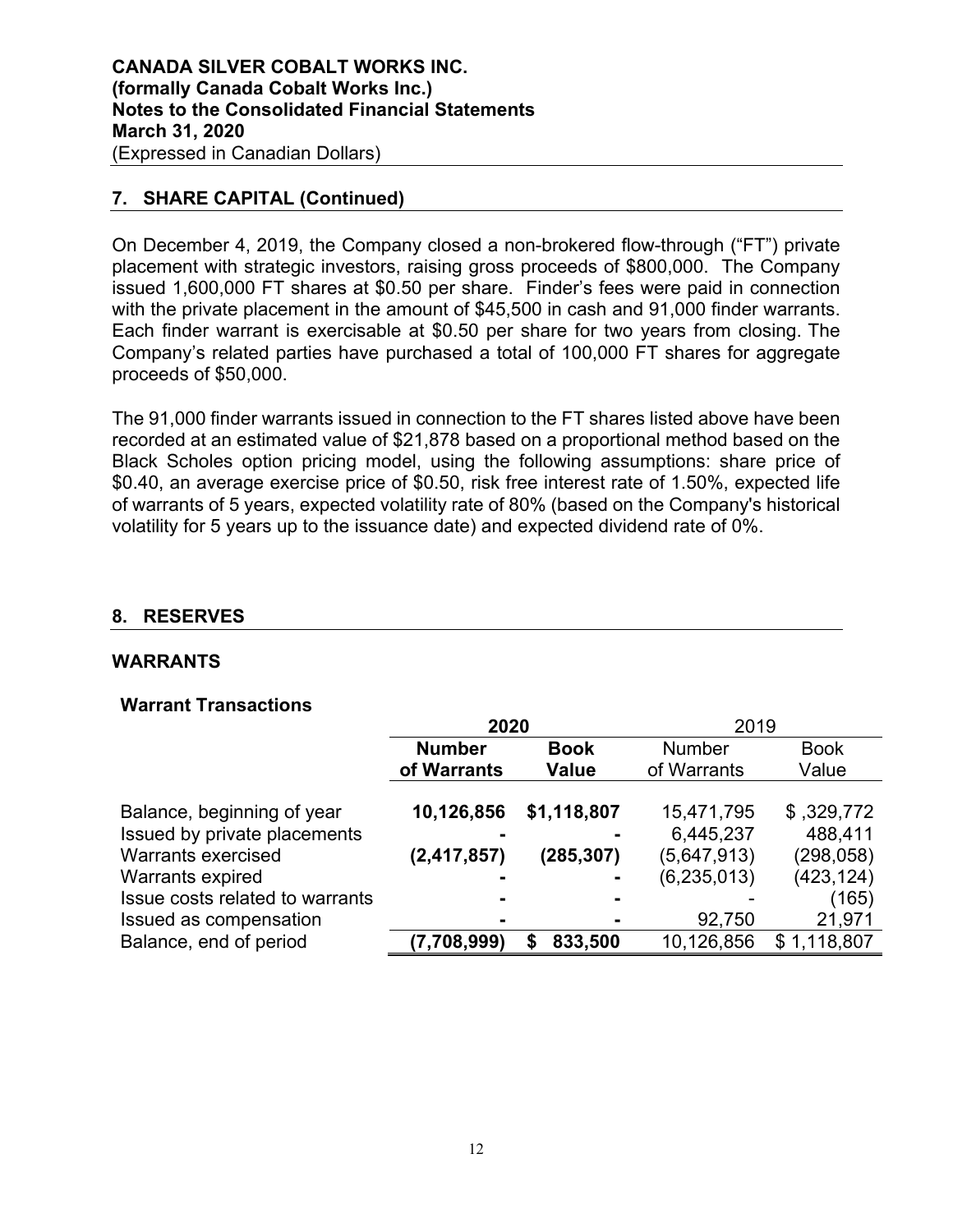# **7. SHARE CAPITAL (Continued)**

On December 4, 2019, the Company closed a non-brokered flow-through ("FT") private placement with strategic investors, raising gross proceeds of \$800,000. The Company issued 1,600,000 FT shares at \$0.50 per share. Finder's fees were paid in connection with the private placement in the amount of \$45,500 in cash and 91,000 finder warrants. Each finder warrant is exercisable at \$0.50 per share for two years from closing. The Company's related parties have purchased a total of 100,000 FT shares for aggregate proceeds of \$50,000.

The 91,000 finder warrants issued in connection to the FT shares listed above have been recorded at an estimated value of \$21,878 based on a proportional method based on the Black Scholes option pricing model, using the following assumptions: share price of \$0.40, an average exercise price of \$0.50, risk free interest rate of 1.50%, expected life of warrants of 5 years, expected volatility rate of 80% (based on the Company's historical volatility for 5 years up to the issuance date) and expected dividend rate of 0%.

# **8. RESERVES**

### **WARRANTS**

### **Warrant Transactions**

|                                 | 2020          |              | 2019          |             |
|---------------------------------|---------------|--------------|---------------|-------------|
|                                 | <b>Number</b> | <b>Book</b>  | <b>Number</b> | <b>Book</b> |
|                                 | of Warrants   | <b>Value</b> | of Warrants   | Value       |
|                                 |               |              |               |             |
| Balance, beginning of year      | 10,126,856    | \$1,118,807  | 15,471,795    | \$,329,772  |
| Issued by private placements    |               |              | 6,445,237     | 488,411     |
| <b>Warrants exercised</b>       | (2, 417, 857) | (285, 307)   | (5,647,913)   | (298, 058)  |
| Warrants expired                |               |              | (6, 235, 013) | (423, 124)  |
| Issue costs related to warrants |               |              |               | (165)       |
| Issued as compensation          |               |              | 92,750        | 21,971      |
| Balance, end of period          | (7,708,999)   | 833,500      | 10,126,856    | \$1,118,807 |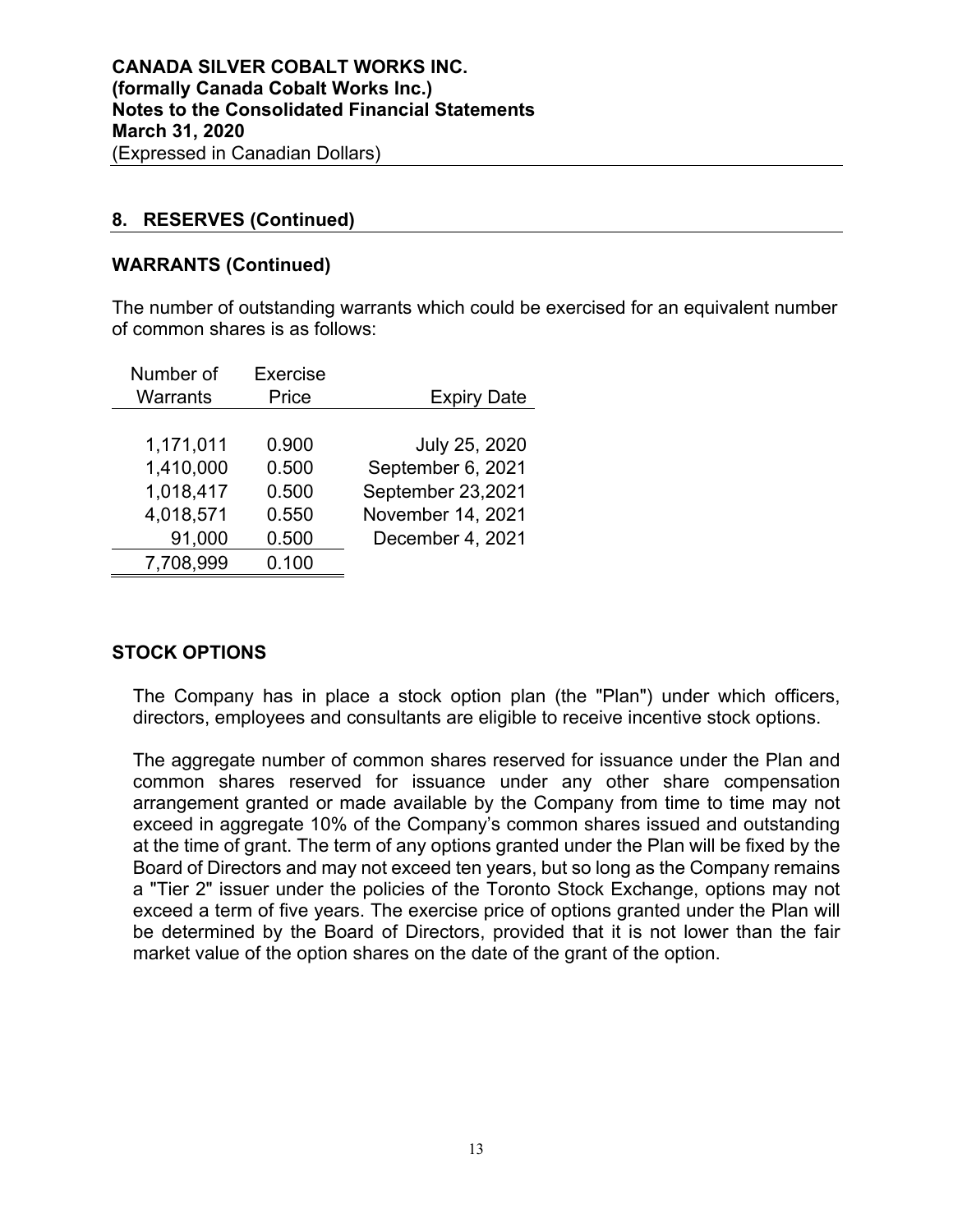### **8. RESERVES (Continued)**

### **WARRANTS (Continued)**

The number of outstanding warrants which could be exercised for an equivalent number of common shares is as follows:

| Number of | Exercise |                    |
|-----------|----------|--------------------|
| Warrants  | Price    | <b>Expiry Date</b> |
|           |          |                    |
| 1,171,011 | 0.900    | July 25, 2020      |
| 1,410,000 | 0.500    | September 6, 2021  |
| 1,018,417 | 0.500    | September 23,2021  |
| 4,018,571 | 0.550    | November 14, 2021  |
| 91,000    | 0.500    | December 4, 2021   |
| 7,708,999 | 0.100    |                    |

# **STOCK OPTIONS**

The Company has in place a stock option plan (the "Plan") under which officers, directors, employees and consultants are eligible to receive incentive stock options.

The aggregate number of common shares reserved for issuance under the Plan and common shares reserved for issuance under any other share compensation arrangement granted or made available by the Company from time to time may not exceed in aggregate 10% of the Company's common shares issued and outstanding at the time of grant. The term of any options granted under the Plan will be fixed by the Board of Directors and may not exceed ten years, but so long as the Company remains a "Tier 2" issuer under the policies of the Toronto Stock Exchange, options may not exceed a term of five years. The exercise price of options granted under the Plan will be determined by the Board of Directors, provided that it is not lower than the fair market value of the option shares on the date of the grant of the option.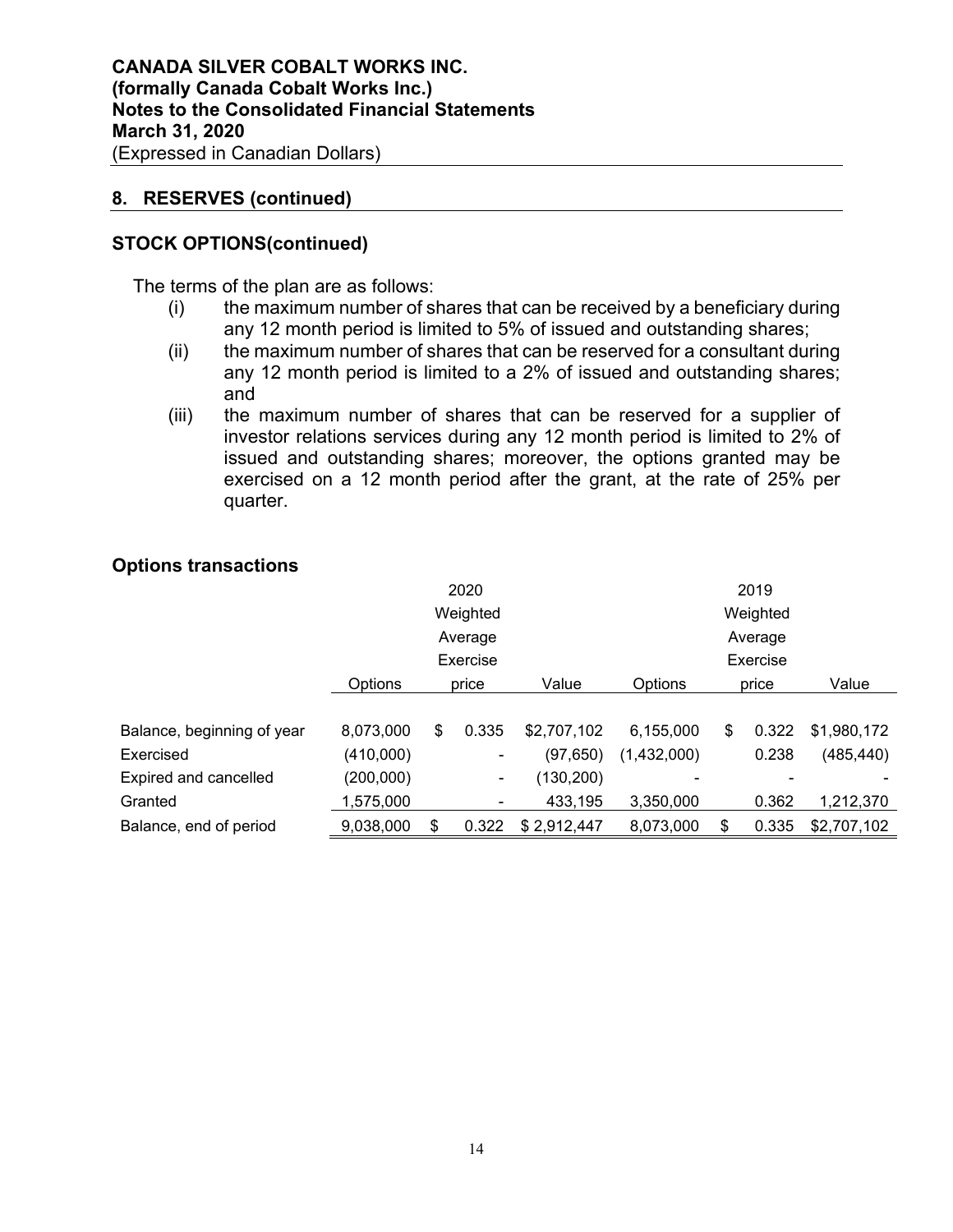### **8. RESERVES (continued)**

### **STOCK OPTIONS(continued)**

The terms of the plan are as follows:

- (i) the maximum number of shares that can be received by a beneficiary during any 12 month period is limited to 5% of issued and outstanding shares;
- (ii) the maximum number of shares that can be reserved for a consultant during any 12 month period is limited to a 2% of issued and outstanding shares; and
- (iii) the maximum number of shares that can be reserved for a supplier of investor relations services during any 12 month period is limited to 2% of issued and outstanding shares; moreover, the options granted may be exercised on a 12 month period after the grant, at the rate of 25% per quarter.

|                            |           | 2020     |         |             |             | 2019 |          |             |
|----------------------------|-----------|----------|---------|-------------|-------------|------|----------|-------------|
|                            |           | Weighted |         |             |             |      | Weighted |             |
|                            |           |          | Average |             | Average     |      |          |             |
|                            |           | Exercise |         |             |             |      | Exercise |             |
|                            | Options   |          | price   | Value       | Options     |      | price    | Value       |
|                            |           |          |         |             |             |      |          |             |
| Balance, beginning of year | 8,073,000 | S        | 0.335   | \$2,707,102 | 6,155,000   | S    | 0.322    | \$1,980,172 |
| Exercised                  | (410,000) |          | -       | (97, 650)   | (1,432,000) |      | 0.238    | (485, 440)  |
| Expired and cancelled      | (200,000) |          | ۰       | (130, 200)  | -           |      |          |             |
| Granted                    | 1,575,000 |          |         | 433,195     | 3.350.000   |      | 0.362    | 1,212,370   |
| Balance, end of period     | 9,038,000 | \$       | 0.322   | \$2,912,447 | 8,073,000   | \$   | 0.335    | \$2,707,102 |
|                            |           |          |         |             |             |      |          |             |

### **Options transactions**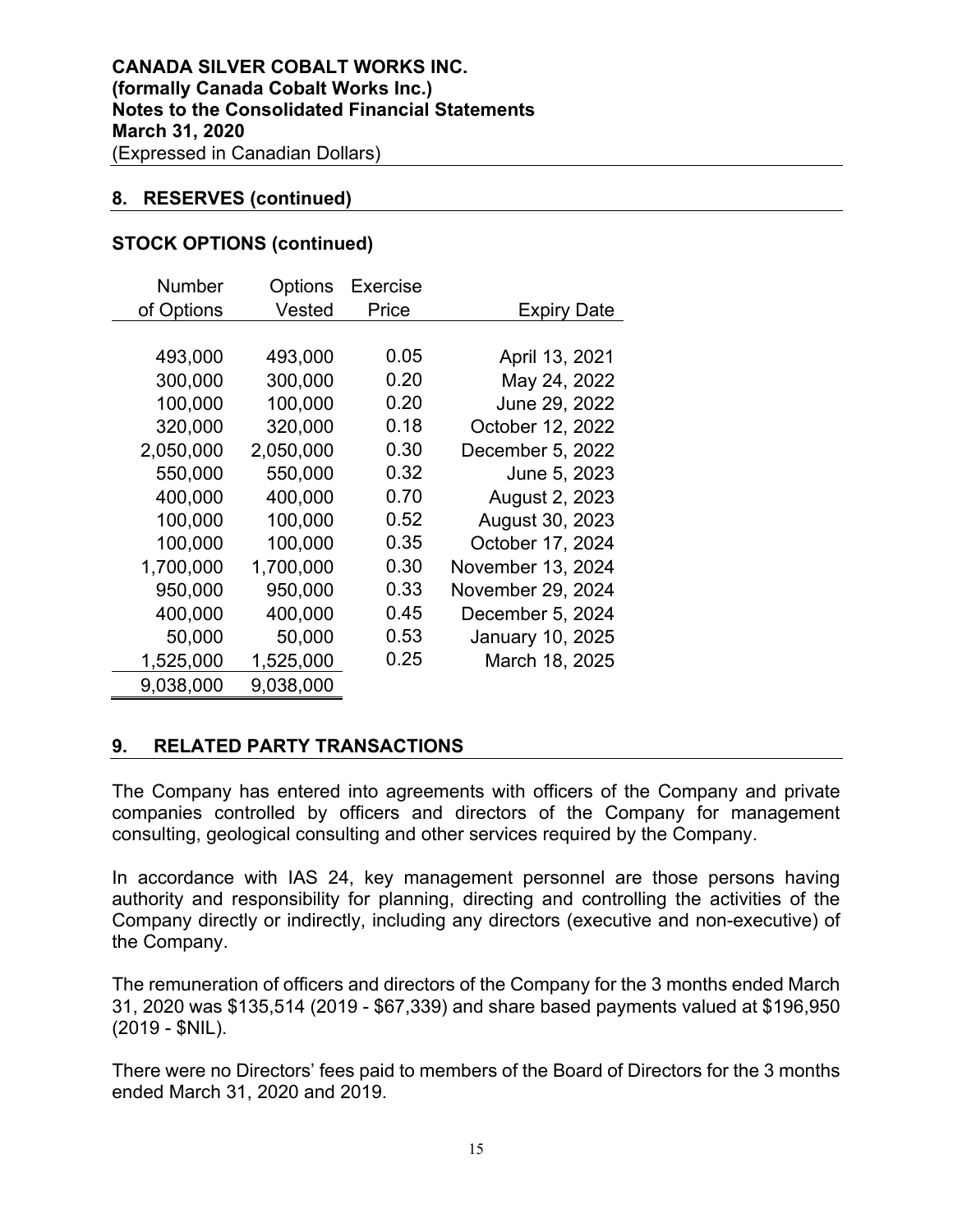### **8. RESERVES (continued)**

### **STOCK OPTIONS (continued)**

| <b>Number</b> | Options   | Exercise |                    |
|---------------|-----------|----------|--------------------|
| of Options    | Vested    | Price    | <b>Expiry Date</b> |
|               |           |          |                    |
| 493,000       | 493,000   | 0.05     | April 13, 2021     |
| 300,000       | 300,000   | 0.20     | May 24, 2022       |
| 100,000       | 100,000   | 0.20     | June 29, 2022      |
| 320,000       | 320,000   | 0.18     | October 12, 2022   |
| 2,050,000     | 2,050,000 | 0.30     | December 5, 2022   |
| 550,000       | 550,000   | 0.32     | June 5, 2023       |
| 400,000       | 400,000   | 0.70     | August 2, 2023     |
| 100,000       | 100,000   | 0.52     | August 30, 2023    |
| 100,000       | 100,000   | 0.35     | October 17, 2024   |
| 1,700,000     | 1,700,000 | 0.30     | November 13, 2024  |
| 950,000       | 950,000   | 0.33     | November 29, 2024  |
| 400,000       | 400,000   | 0.45     | December 5, 2024   |
| 50,000        | 50,000    | 0.53     | January 10, 2025   |
| 1,525,000     | 1,525,000 | 0.25     | March 18, 2025     |
| 9,038,000     | 9,038,000 |          |                    |

### **9. RELATED PARTY TRANSACTIONS**

The Company has entered into agreements with officers of the Company and private companies controlled by officers and directors of the Company for management consulting, geological consulting and other services required by the Company.

In accordance with IAS 24, key management personnel are those persons having authority and responsibility for planning, directing and controlling the activities of the Company directly or indirectly, including any directors (executive and non-executive) of the Company.

The remuneration of officers and directors of the Company for the 3 months ended March 31, 2020 was \$135,514 (2019 - \$67,339) and share based payments valued at \$196,950 (2019 - \$NIL).

There were no Directors' fees paid to members of the Board of Directors for the 3 months ended March 31, 2020 and 2019.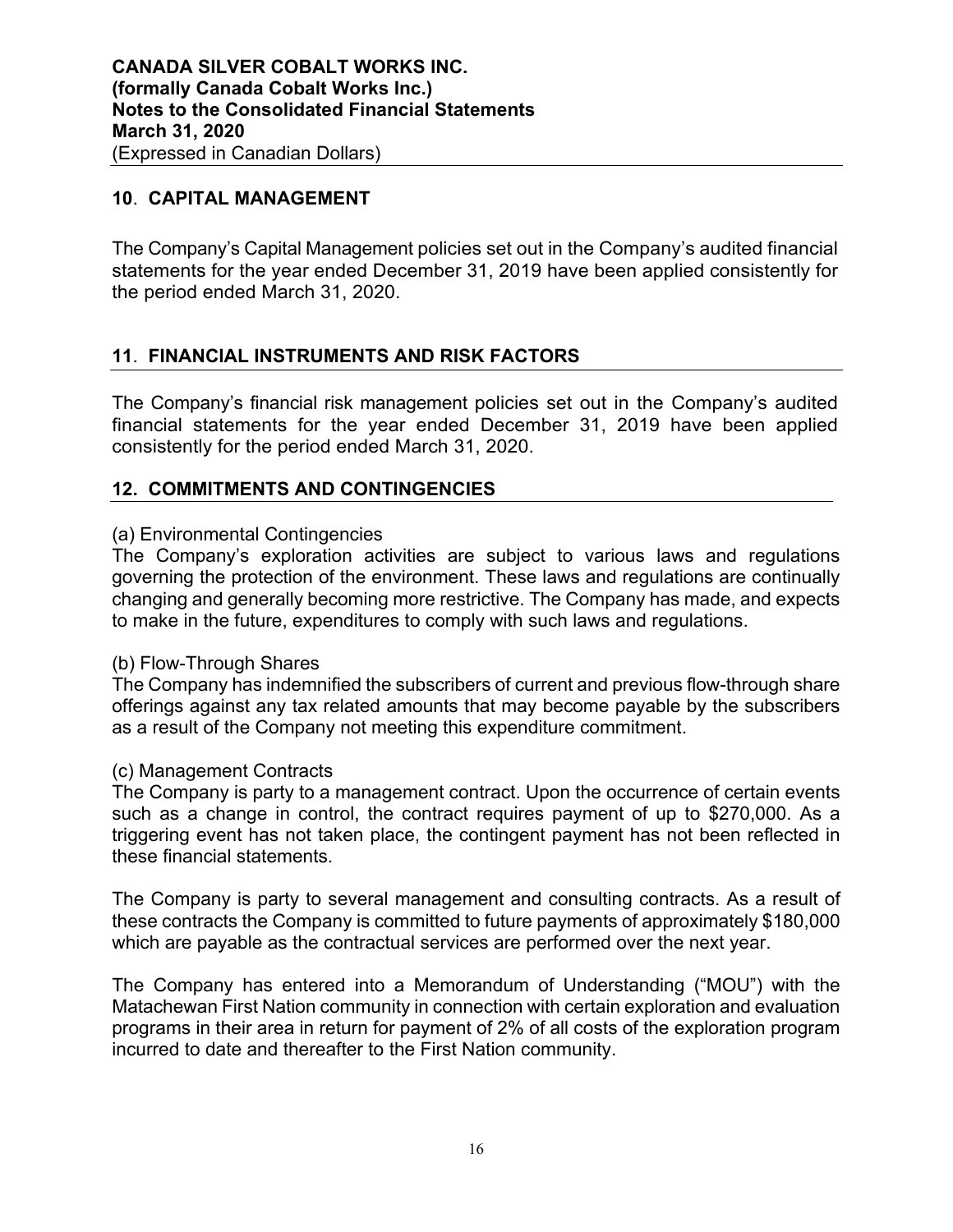# **10**. **CAPITAL MANAGEMENT**

The Company's Capital Management policies set out in the Company's audited financial statements for the year ended December 31, 2019 have been applied consistently for the period ended March 31, 2020.

# **11**. **FINANCIAL INSTRUMENTS AND RISK FACTORS**

The Company's financial risk management policies set out in the Company's audited financial statements for the year ended December 31, 2019 have been applied consistently for the period ended March 31, 2020.

### **12. COMMITMENTS AND CONTINGENCIES**

### (a) Environmental Contingencies

The Company's exploration activities are subject to various laws and regulations governing the protection of the environment. These laws and regulations are continually changing and generally becoming more restrictive. The Company has made, and expects to make in the future, expenditures to comply with such laws and regulations.

#### (b) Flow-Through Shares

The Company has indemnified the subscribers of current and previous flow-through share offerings against any tax related amounts that may become payable by the subscribers as a result of the Company not meeting this expenditure commitment.

#### (c) Management Contracts

The Company is party to a management contract. Upon the occurrence of certain events such as a change in control, the contract requires payment of up to \$270,000. As a triggering event has not taken place, the contingent payment has not been reflected in these financial statements.

The Company is party to several management and consulting contracts. As a result of these contracts the Company is committed to future payments of approximately \$180,000 which are payable as the contractual services are performed over the next year.

The Company has entered into a Memorandum of Understanding ("MOU") with the Matachewan First Nation community in connection with certain exploration and evaluation programs in their area in return for payment of 2% of all costs of the exploration program incurred to date and thereafter to the First Nation community.